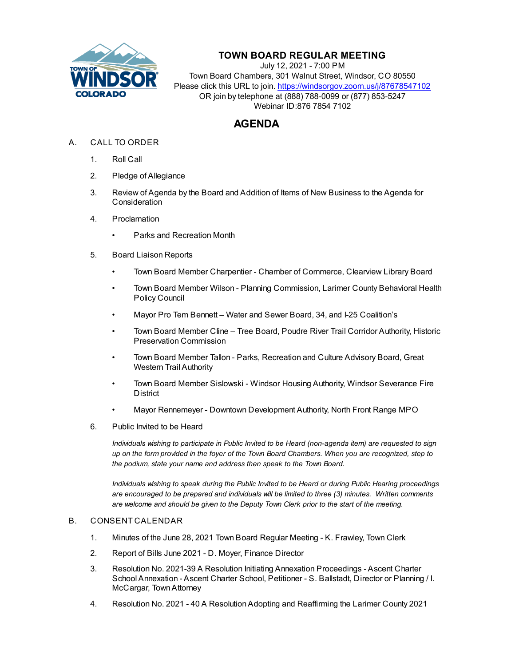

# **TOWN BOARD REGULAR MEETING**

July 12, 2021 - 7:00 PM Town Board Chambers, 301 Walnut Street, Windsor, CO 80550 Please click this URL to join. https://windsorgov.zoom.us/j/87678547102 OR join by telephone at (888) 788-0099 or (877) 853-5247 Webinar ID:876 7854 7102

# **AGENDA**

- A. CALL TO ORDER
	- 1. Roll Call
	- 2. Pledge of Allegiance
	- 3. Review of Agenda by the Board and Addition of Items of New Business to the Agenda for **Consideration**
	- 4. Proclamation
		- [Parks and Recreation Month](file:///C:/Windows/TEMP/CoverSheet.aspx?ItemID=1527&MeetingID=256)
	- 5. Board Liaison Reports
		- Town Board Member Charpentier Chamber of Commerce, Clearview Library Board
		- Town Board Member Wilson Planning Commission, Larimer County Behavioral Health Policy Council
		- Mayor Pro Tem Bennett Water and Sewer Board, 34, and I-25 Coalition's
		- Town Board Member Cline Tree Board, Poudre River Trail Corridor Authority, Historic Preservation Commission
		- Town Board Member Tallon Parks, Recreation and Culture Advisory Board, Great Western Trail Authority
		- Town Board Member Sislowski Windsor Housing Authority, Windsor Severance Fire **District**
		- Mayor Rennemeyer Downtown Development Authority, North Front Range MPO
	- 6. Public Invited to be Heard

*Individuals wishing to participate in Public Invited to be Heard (non-agenda item) are requested to sign up on the form provided in the foyer of the Town Board Chambers. When you are recognized, step to the podium, state your name and address then speak to the Town Board.*

*Individuals wishing to speak during the Public Invited to be Heard or during Public Hearing proceedings are encouraged to be prepared and individuals will be limited to three (3) minutes. Written comments are welcome and should be given to the Deputy Town Clerk prior to the start of the meeting.*

## B. CONSENT CALENDAR

- 1. [Minutes of the June 28, 2021 Town Board Regular Meeting K. Frawley, Town Clerk](file:///C:/Windows/TEMP/CoverSheet.aspx?ItemID=1507&MeetingID=256)
- 2. [Report of Bills June 2021 D. Moyer, Finance Director](file:///C:/Windows/TEMP/CoverSheet.aspx?ItemID=1518&MeetingID=256)
- 3. Resolution No. 2021-39 A Resolution Initiating Annexation Proceedings Ascent Charter [School Annexation - Ascent Charter School, Petitioner - S. Ballstadt, Director or Planning / I.](file:///C:/Windows/TEMP/CoverSheet.aspx?ItemID=1523&MeetingID=256) McCargar, Town Attorney
- 4. [Resolution No. 2021 40 A Resolution Adopting and Reaffirming the Larimer County 2021](file:///C:/Windows/TEMP/CoverSheet.aspx?ItemID=1517&MeetingID=256)